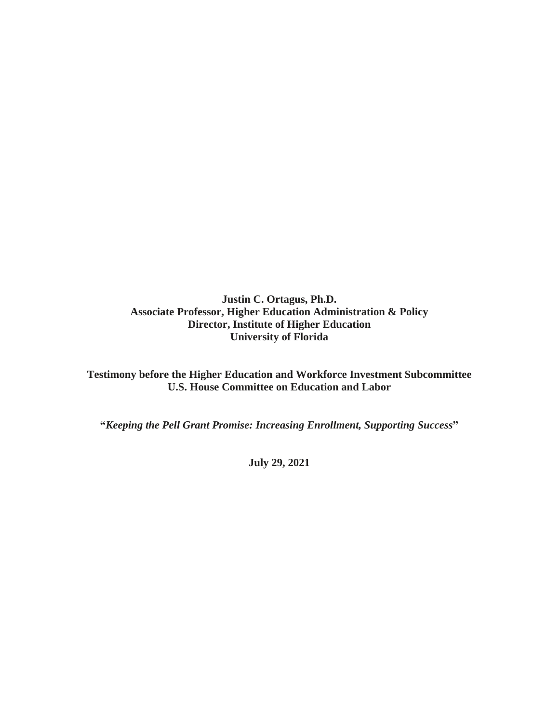**Justin C. Ortagus, Ph.D. Associate Professor, Higher Education Administration & Policy Director, Institute of Higher Education University of Florida**

**Testimony before the Higher Education and Workforce Investment Subcommittee U.S. House Committee on Education and Labor**

**"***Keeping the Pell Grant Promise: Increasing Enrollment, Supporting Success***"**

**July 29, 2021**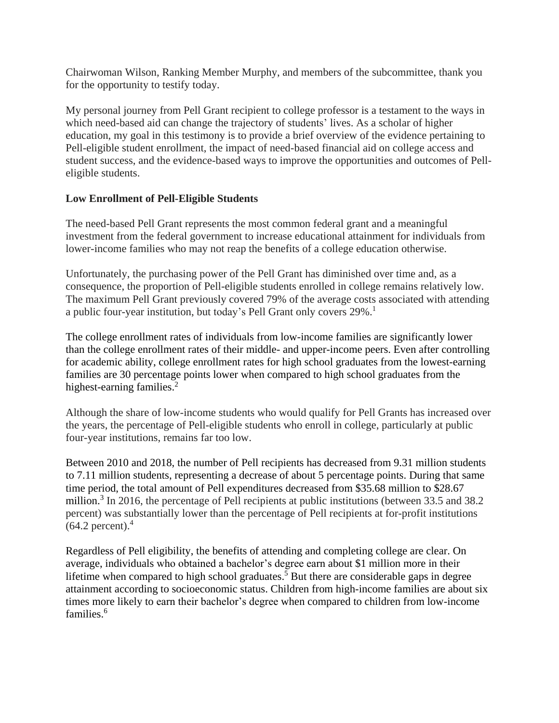Chairwoman Wilson, Ranking Member Murphy, and members of the subcommittee, thank you for the opportunity to testify today.

My personal journey from Pell Grant recipient to college professor is a testament to the ways in which need-based aid can change the trajectory of students' lives. As a scholar of higher education, my goal in this testimony is to provide a brief overview of the evidence pertaining to Pell-eligible student enrollment, the impact of need-based financial aid on college access and student success, and the evidence-based ways to improve the opportunities and outcomes of Pelleligible students.

# **Low Enrollment of Pell-Eligible Students**

The need-based Pell Grant represents the most common federal grant and a meaningful investment from the federal government to increase educational attainment for individuals from lower-income families who may not reap the benefits of a college education otherwise.

Unfortunately, the purchasing power of the Pell Grant has diminished over time and, as a consequence, the proportion of Pell-eligible students enrolled in college remains relatively low. The maximum Pell Grant previously covered 79% of the average costs associated with attending a public four-year institution, but today's Pell Grant only covers 29%.<sup>1</sup>

The college enrollment rates of individuals from low-income families are significantly lower than the college enrollment rates of their middle- and upper-income peers. Even after controlling for academic ability, college enrollment rates for high school graduates from the lowest-earning families are 30 percentage points lower when compared to high school graduates from the highest-earning families.<sup>2</sup>

Although the share of low-income students who would qualify for Pell Grants has increased over the years, the percentage of Pell-eligible students who enroll in college, particularly at public four-year institutions, remains far too low.

Between 2010 and 2018, the number of Pell recipients has decreased from 9.31 million students to 7.11 million students, representing a decrease of about 5 percentage points. During that same time period, the total amount of Pell expenditures decreased from \$35.68 million to \$28.67 million.<sup>3</sup> In 2016, the percentage of Pell recipients at public institutions (between 33.5 and 38.2) percent) was substantially lower than the percentage of Pell recipients at for-profit institutions  $(64.2 \text{ percent})$ .<sup>4</sup>

Regardless of Pell eligibility, the benefits of attending and completing college are clear. On average, individuals who obtained a bachelor's degree earn about \$1 million more in their lifetime when compared to high school graduates.<sup>5</sup> But there are considerable gaps in degree attainment according to socioeconomic status. Children from high-income families are about six times more likely to earn their bachelor's degree when compared to children from low-income families. 6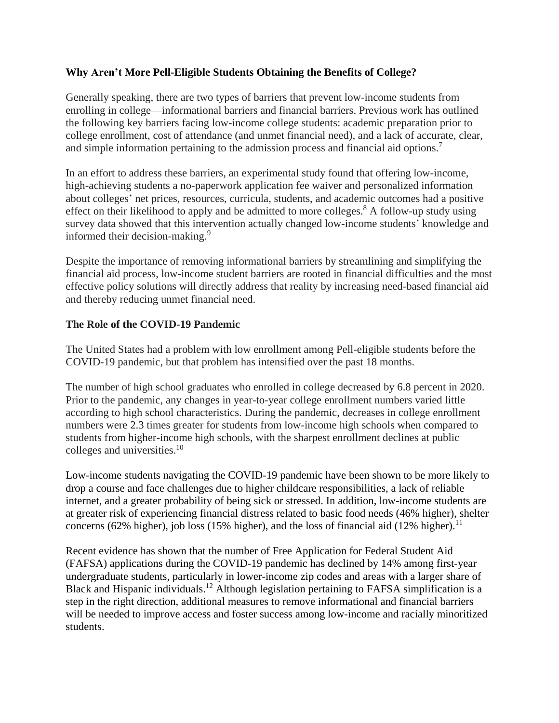## **Why Aren't More Pell-Eligible Students Obtaining the Benefits of College?**

Generally speaking, there are two types of barriers that prevent low-income students from enrolling in college—informational barriers and financial barriers. Previous work has outlined the following key barriers facing low-income college students: academic preparation prior to college enrollment, cost of attendance (and unmet financial need), and a lack of accurate, clear, and simple information pertaining to the admission process and financial aid options.<sup>7</sup>

In an effort to address these barriers, an experimental study found that offering low-income, high-achieving students a no-paperwork application fee waiver and personalized information about colleges' net prices, resources, curricula, students, and academic outcomes had a positive effect on their likelihood to apply and be admitted to more colleges.<sup>8</sup> A follow-up study using survey data showed that this intervention actually changed low-income students' knowledge and informed their decision-making.<sup>9</sup>

Despite the importance of removing informational barriers by streamlining and simplifying the financial aid process, low-income student barriers are rooted in financial difficulties and the most effective policy solutions will directly address that reality by increasing need-based financial aid and thereby reducing unmet financial need.

### **The Role of the COVID-19 Pandemic**

The United States had a problem with low enrollment among Pell-eligible students before the COVID-19 pandemic, but that problem has intensified over the past 18 months.

The number of high school graduates who enrolled in college decreased by 6.8 percent in 2020. Prior to the pandemic, any changes in year-to-year college enrollment numbers varied little according to high school characteristics. During the pandemic, decreases in college enrollment numbers were 2.3 times greater for students from low-income high schools when compared to students from higher-income high schools, with the sharpest enrollment declines at public colleges and universities. 10

Low-income students navigating the COVID-19 pandemic have been shown to be more likely to drop a course and face challenges due to higher childcare responsibilities, a lack of reliable internet, and a greater probability of being sick or stressed. In addition, low-income students are at greater risk of experiencing financial distress related to basic food needs (46% higher), shelter concerns (62% higher), job loss (15% higher), and the loss of financial aid (12% higher).<sup>11</sup>

Recent evidence has shown that the number of Free Application for Federal Student Aid (FAFSA) applications during the COVID-19 pandemic has declined by 14% among first-year undergraduate students, particularly in lower-income zip codes and areas with a larger share of Black and Hispanic individuals.<sup>12</sup> Although legislation pertaining to FAFSA simplification is a step in the right direction, additional measures to remove informational and financial barriers will be needed to improve access and foster success among low-income and racially minoritized students.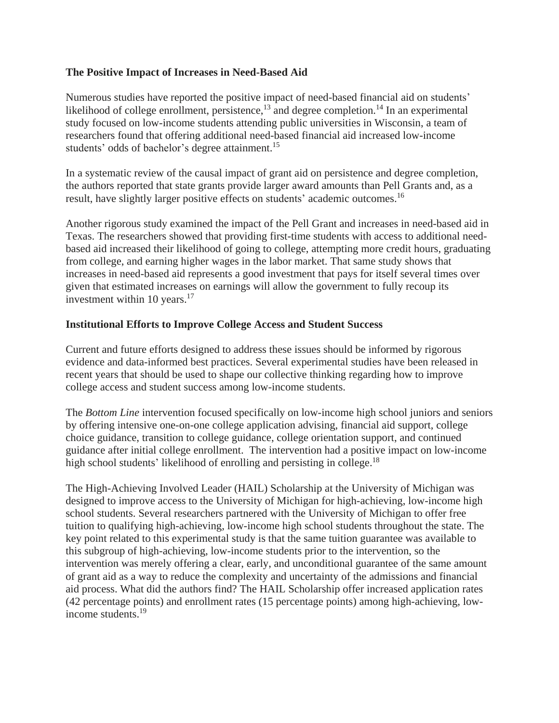#### **The Positive Impact of Increases in Need-Based Aid**

Numerous studies have reported the positive impact of need-based financial aid on students' likelihood of college enrollment, persistence,<sup>13</sup> and degree completion.<sup>14</sup> In an experimental study focused on low-income students attending public universities in Wisconsin, a team of researchers found that offering additional need-based financial aid increased low-income students' odds of bachelor's degree attainment.<sup>15</sup>

In a systematic review of the causal impact of grant aid on persistence and degree completion, the authors reported that state grants provide larger award amounts than Pell Grants and, as a result, have slightly larger positive effects on students' academic outcomes.<sup>16</sup>

Another rigorous study examined the impact of the Pell Grant and increases in need-based aid in Texas. The researchers showed that providing first-time students with access to additional needbased aid increased their likelihood of going to college, attempting more credit hours, graduating from college, and earning higher wages in the labor market. That same study shows that increases in need-based aid represents a good investment that pays for itself several times over given that estimated increases on earnings will allow the government to fully recoup its investment within 10 years. $17$ 

### **Institutional Efforts to Improve College Access and Student Success**

Current and future efforts designed to address these issues should be informed by rigorous evidence and data-informed best practices. Several experimental studies have been released in recent years that should be used to shape our collective thinking regarding how to improve college access and student success among low-income students.

The *Bottom Line* intervention focused specifically on low-income high school juniors and seniors by offering intensive one-on-one college application advising, financial aid support, college choice guidance, transition to college guidance, college orientation support, and continued guidance after initial college enrollment. The intervention had a positive impact on low-income high school students' likelihood of enrolling and persisting in college.<sup>18</sup>

The High-Achieving Involved Leader (HAIL) Scholarship at the University of Michigan was designed to improve access to the University of Michigan for high-achieving, low-income high school students. Several researchers partnered with the University of Michigan to offer free tuition to qualifying high-achieving, low-income high school students throughout the state. The key point related to this experimental study is that the same tuition guarantee was available to this subgroup of high-achieving, low-income students prior to the intervention, so the intervention was merely offering a clear, early, and unconditional guarantee of the same amount of grant aid as a way to reduce the complexity and uncertainty of the admissions and financial aid process. What did the authors find? The HAIL Scholarship offer increased application rates (42 percentage points) and enrollment rates (15 percentage points) among high-achieving, lowincome students. 19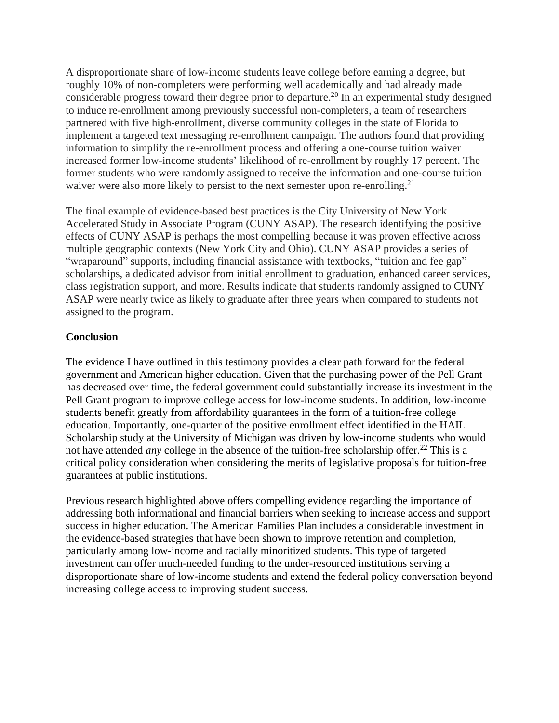A disproportionate share of low-income students leave college before earning a degree, but roughly 10% of non-completers were performing well academically and had already made considerable progress toward their degree prior to departure.<sup>20</sup> In an experimental study designed to induce re-enrollment among previously successful non-completers, a team of researchers partnered with five high-enrollment, diverse community colleges in the state of Florida to implement a targeted text messaging re-enrollment campaign. The authors found that providing information to simplify the re-enrollment process and offering a one-course tuition waiver increased former low-income students' likelihood of re-enrollment by roughly 17 percent. The former students who were randomly assigned to receive the information and one-course tuition waiver were also more likely to persist to the next semester upon re-enrolling.<sup>21</sup>

The final example of evidence-based best practices is the City University of New York Accelerated Study in Associate Program (CUNY ASAP). The research identifying the positive effects of CUNY ASAP is perhaps the most compelling because it was proven effective across multiple geographic contexts (New York City and Ohio). CUNY ASAP provides a series of "wraparound" supports, including financial assistance with textbooks, "tuition and fee gap" scholarships, a dedicated advisor from initial enrollment to graduation, enhanced career services, class registration support, and more. Results indicate that students randomly assigned to CUNY ASAP were nearly twice as likely to graduate after three years when compared to students not assigned to the program.

# **Conclusion**

The evidence I have outlined in this testimony provides a clear path forward for the federal government and American higher education. Given that the purchasing power of the Pell Grant has decreased over time, the federal government could substantially increase its investment in the Pell Grant program to improve college access for low-income students. In addition, low-income students benefit greatly from affordability guarantees in the form of a tuition-free college education. Importantly, one-quarter of the positive enrollment effect identified in the HAIL Scholarship study at the University of Michigan was driven by low-income students who would not have attended *any* college in the absence of the tuition-free scholarship offer.<sup>22</sup> This is a critical policy consideration when considering the merits of legislative proposals for tuition-free guarantees at public institutions.

Previous research highlighted above offers compelling evidence regarding the importance of addressing both informational and financial barriers when seeking to increase access and support success in higher education. The American Families Plan includes a considerable investment in the evidence-based strategies that have been shown to improve retention and completion, particularly among low-income and racially minoritized students. This type of targeted investment can offer much-needed funding to the under-resourced institutions serving a disproportionate share of low-income students and extend the federal policy conversation beyond increasing college access to improving student success.